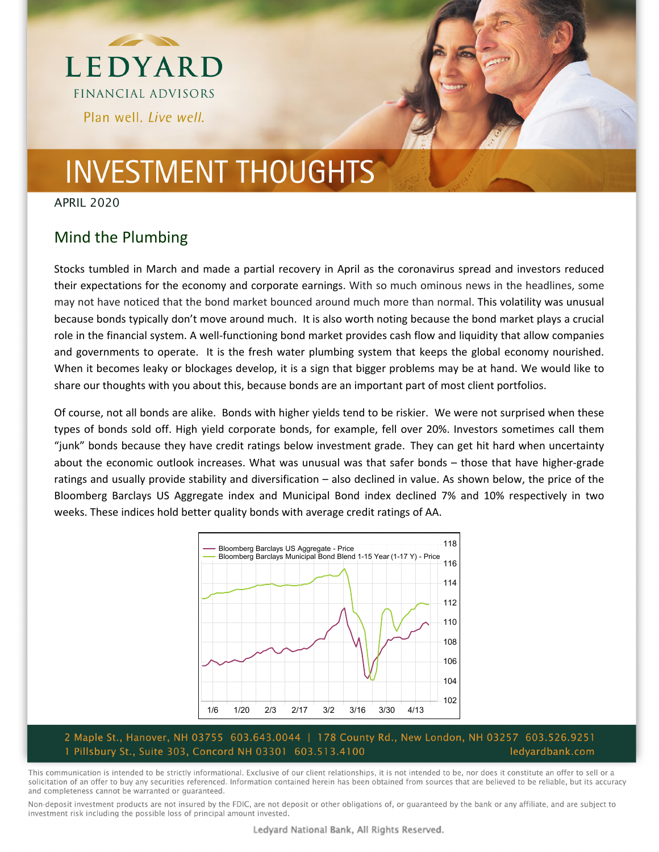

# **INVESTMENT THOUGHTS**

APRIL 2020

### Mind the Plumbing

Stocks tumbled in March and made a partial recovery in April as the coronavirus spread and investors reduced their expectations for the economy and corporate earnings. With so much ominous news in the headlines, some may not have noticed that the bond market bounced around much more than normal. This volatility was unusual because bonds typically don't move around much. It is also worth noting because the bond market plays a crucial role in the financial system. A well‐functioning bond market provides cash flow and liquidity that allow companies and governments to operate. It is the fresh water plumbing system that keeps the global economy nourished. When it becomes leaky or blockages develop, it is a sign that bigger problems may be at hand. We would like to share our thoughts with you about this, because bonds are an important part of most client portfolios.

Of course, not all bonds are alike. Bonds with higher yields tend to be riskier. We were not surprised when these types of bonds sold off. High yield corporate bonds, for example, fell over 20%. Investors sometimes call them "junk" bonds because they have credit ratings below investment grade. They can get hit hard when uncertainty about the economic outlook increases. What was unusual was that safer bonds – those that have higher-grade ratings and usually provide stability and diversification – also declined in value. As shown below, the price of the Bloomberg Barclays US Aggregate index and Municipal Bond index declined 7% and 10% respectively in two weeks. These indices hold better quality bonds with average credit ratings of AA.



#### 2 Maple St., Hanover, NH 03755 603.643.0044 | 178 County Rd., New London, NH 03257 603.526.9251 1 Pillsbury St., Suite 303, Concord NH 03301 603.513.4100 ledyardbank.com

This communication is intended to be strictly informational. Exclusive of our client relationships, it is not intended to be, nor does it constitute an offer to sell or a solicitation of an offer to buy any securities referenced. Information contained herein has been obtained from sources that are believed to be reliable, but its accuracy and completeness cannot be warranted or guaranteed.

Non-deposit investment products are not insured by the FDIC, are not deposit or other obligations of, or guaranteed by the bank or any affiliate, and are subject to investment risk including the possible loss of principal amount invested.

Ledyard National Bank, All Rights Reserved.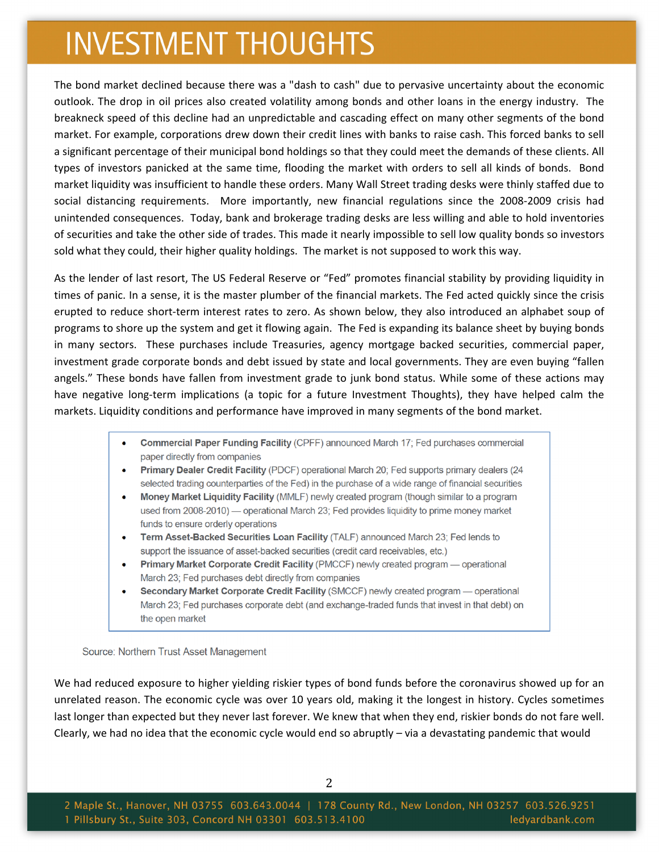## **INVESTMENT THOUGHTS**

The bond market declined because there was a "dash to cash" due to pervasive uncertainty about the economic outlook. The drop in oil prices also created volatility among bonds and other loans in the energy industry. The breakneck speed of this decline had an unpredictable and cascading effect on many other segments of the bond market. For example, corporations drew down their credit lines with banks to raise cash. This forced banks to sell a significant percentage of their municipal bond holdings so that they could meet the demands of these clients. All types of investors panicked at the same time, flooding the market with orders to sell all kinds of bonds. Bond market liquidity was insufficient to handle these orders. Many Wall Street trading desks were thinly staffed due to social distancing requirements. More importantly, new financial regulations since the 2008‐2009 crisis had unintended consequences. Today, bank and brokerage trading desks are less willing and able to hold inventories of securities and take the other side of trades. This made it nearly impossible to sell low quality bonds so investors sold what they could, their higher quality holdings. The market is not supposed to work this way.

As the lender of last resort, The US Federal Reserve or "Fed" promotes financial stability by providing liquidity in times of panic. In a sense, it is the master plumber of the financial markets. The Fed acted quickly since the crisis erupted to reduce short‐term interest rates to zero. As shown below, they also introduced an alphabet soup of programs to shore up the system and get it flowing again. The Fed is expanding its balance sheet by buying bonds in many sectors. These purchases include Treasuries, agency mortgage backed securities, commercial paper, investment grade corporate bonds and debt issued by state and local governments. They are even buying "fallen angels." These bonds have fallen from investment grade to junk bond status. While some of these actions may have negative long-term implications (a topic for a future Investment Thoughts), they have helped calm the markets. Liquidity conditions and performance have improved in many segments of the bond market.

- Commercial Paper Funding Facility (CPFF) announced March 17; Fed purchases commercial paper directly from companies
- Primary Dealer Credit Facility (PDCF) operational March 20; Fed supports primary dealers (24 selected trading counterparties of the Fed) in the purchase of a wide range of financial securities
- Money Market Liquidity Facility (MMLF) newly created program (though similar to a program used from 2008-2010) — operational March 23; Fed provides liquidity to prime money market funds to ensure orderly operations
- Term Asset-Backed Securities Loan Facility (TALF) announced March 23; Fed lends to support the issuance of asset-backed securities (credit card receivables, etc.)
- Primary Market Corporate Credit Facility (PMCCF) newly created program operational March 23; Fed purchases debt directly from companies
- Secondary Market Corporate Credit Facility (SMCCF) newly created program operational March 23; Fed purchases corporate debt (and exchange-traded funds that invest in that debt) on the open market

Source: Northern Trust Asset Management

We had reduced exposure to higher yielding riskier types of bond funds before the coronavirus showed up for an unrelated reason. The economic cycle was over 10 years old, making it the longest in history. Cycles sometimes last longer than expected but they never last forever. We knew that when they end, riskier bonds do not fare well. Clearly, we had no idea that the economic cycle would end so abruptly – via a devastating pandemic that would